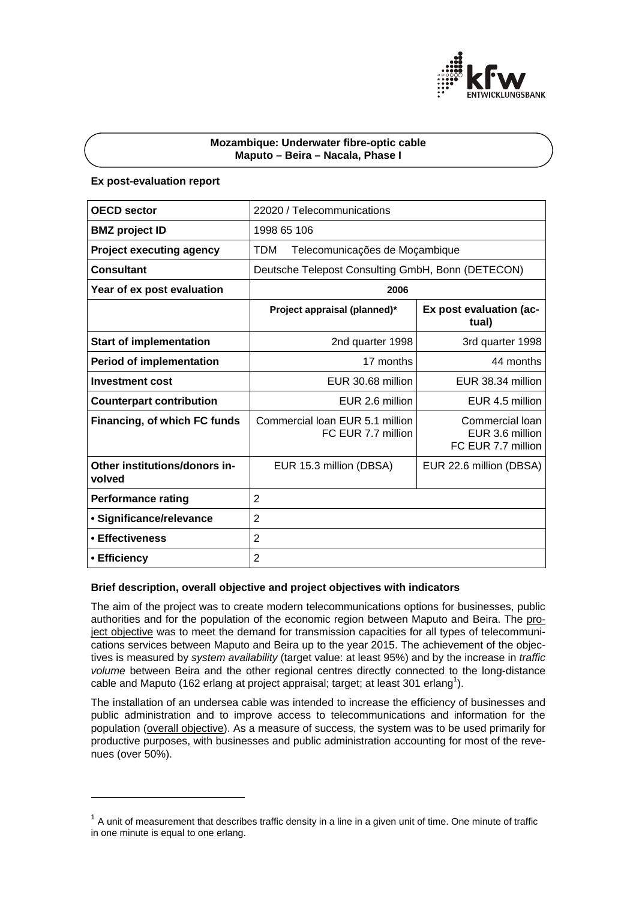

## **Mozambique: Underwater fibre-optic cable Maputo – Beira – Nacala, Phase I**

## **Ex post-evaluation report**

l

| <b>OECD sector</b>                      | 22020 / Telecommunications                            |                                                          |
|-----------------------------------------|-------------------------------------------------------|----------------------------------------------------------|
| <b>BMZ</b> project ID                   | 1998 65 106                                           |                                                          |
| <b>Project executing agency</b>         | <b>TDM</b><br>Telecomunicações de Moçambique          |                                                          |
| <b>Consultant</b>                       | Deutsche Telepost Consulting GmbH, Bonn (DETECON)     |                                                          |
| Year of ex post evaluation              | 2006                                                  |                                                          |
|                                         | Project appraisal (planned)*                          | Ex post evaluation (ac-<br>tual)                         |
| <b>Start of implementation</b>          | 2nd quarter 1998                                      | 3rd quarter 1998                                         |
| <b>Period of implementation</b>         | 17 months                                             | 44 months                                                |
| <b>Investment cost</b>                  | EUR 30.68 million                                     | EUR 38.34 million                                        |
| <b>Counterpart contribution</b>         | EUR 2.6 million                                       | EUR 4.5 million                                          |
| Financing, of which FC funds            | Commercial loan EUR 5.1 million<br>FC EUR 7.7 million | Commercial Ioan<br>EUR 3.6 million<br>FC EUR 7.7 million |
| Other institutions/donors in-<br>volved | EUR 15.3 million (DBSA)                               | EUR 22.6 million (DBSA)                                  |
| <b>Performance rating</b>               | $\overline{2}$                                        |                                                          |
| • Significance/relevance                | 2                                                     |                                                          |
| • Effectiveness                         | 2                                                     |                                                          |
| • Efficiency                            | $\overline{2}$                                        |                                                          |

## **Brief description, overall objective and project objectives with indicators**

The aim of the project was to create modern telecommunications options for businesses, public authorities and for the population of the economic region between Maputo and Beira. The project objective was to meet the demand for transmission capacities for all types of telecommunications services between Maputo and Beira up to the year 2015. The achievement of the objectives is measured by *system availability* (target value: at least 95%) and by the increase in *traffic volume* between Beira and the other regional centres directly connected to the long-distance cable and Maputo (162 erlang at project appraisal; target; at least 301 erlang<sup>1</sup>).

The installation of an undersea cable was intended to increase the efficiency of businesses and public administration and to improve access to telecommunications and information for the population (overall objective). As a measure of success, the system was to be used primarily for productive purposes, with businesses and public administration accounting for most of the revenues (over 50%).

 $1$  A unit of measurement that describes traffic density in a line in a given unit of time. One minute of traffic in one minute is equal to one erlang.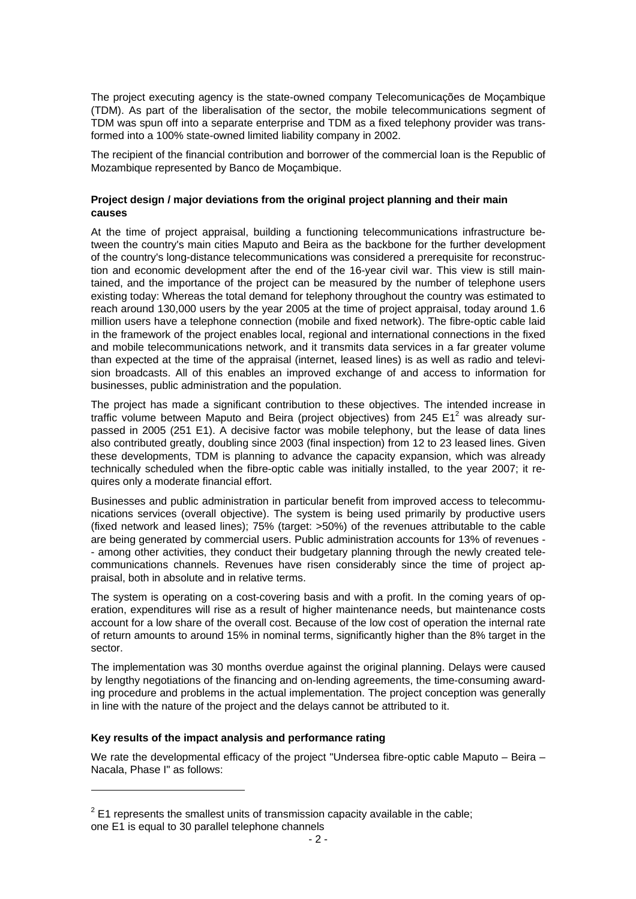The project executing agency is the state-owned company Telecomunicações de Moçambique (TDM). As part of the liberalisation of the sector, the mobile telecommunications segment of TDM was spun off into a separate enterprise and TDM as a fixed telephony provider was transformed into a 100% state-owned limited liability company in 2002.

The recipient of the financial contribution and borrower of the commercial loan is the Republic of Mozambique represented by Banco de Moçambique.

## **Project design / major deviations from the original project planning and their main causes**

At the time of project appraisal, building a functioning telecommunications infrastructure between the country's main cities Maputo and Beira as the backbone for the further development of the country's long-distance telecommunications was considered a prerequisite for reconstruction and economic development after the end of the 16-year civil war. This view is still maintained, and the importance of the project can be measured by the number of telephone users existing today: Whereas the total demand for telephony throughout the country was estimated to reach around 130,000 users by the year 2005 at the time of project appraisal, today around 1.6 million users have a telephone connection (mobile and fixed network). The fibre-optic cable laid in the framework of the project enables local, regional and international connections in the fixed and mobile telecommunications network, and it transmits data services in a far greater volume than expected at the time of the appraisal (internet, leased lines) is as well as radio and television broadcasts. All of this enables an improved exchange of and access to information for businesses, public administration and the population.

The project has made a significant contribution to these objectives. The intended increase in traffic volume between Maputo and Beira (project objectives) from 245  $E1^2$  was already surpassed in 2005 (251 E1). A decisive factor was mobile telephony, but the lease of data lines also contributed greatly, doubling since 2003 (final inspection) from 12 to 23 leased lines. Given these developments, TDM is planning to advance the capacity expansion, which was already technically scheduled when the fibre-optic cable was initially installed, to the year 2007; it requires only a moderate financial effort.

Businesses and public administration in particular benefit from improved access to telecommunications services (overall objective). The system is being used primarily by productive users (fixed network and leased lines); 75% (target: >50%) of the revenues attributable to the cable are being generated by commercial users. Public administration accounts for 13% of revenues - - among other activities, they conduct their budgetary planning through the newly created telecommunications channels. Revenues have risen considerably since the time of project appraisal, both in absolute and in relative terms.

The system is operating on a cost-covering basis and with a profit. In the coming years of operation, expenditures will rise as a result of higher maintenance needs, but maintenance costs account for a low share of the overall cost. Because of the low cost of operation the internal rate of return amounts to around 15% in nominal terms, significantly higher than the 8% target in the sector.

The implementation was 30 months overdue against the original planning. Delays were caused by lengthy negotiations of the financing and on-lending agreements, the time-consuming awarding procedure and problems in the actual implementation. The project conception was generally in line with the nature of the project and the delays cannot be attributed to it.

## **Key results of the impact analysis and performance rating**

l

We rate the developmental efficacy of the project "Undersea fibre-optic cable Maputo – Beira – Nacala, Phase I" as follows:

 $2$  E1 represents the smallest units of transmission capacity available in the cable; one E1 is equal to 30 parallel telephone channels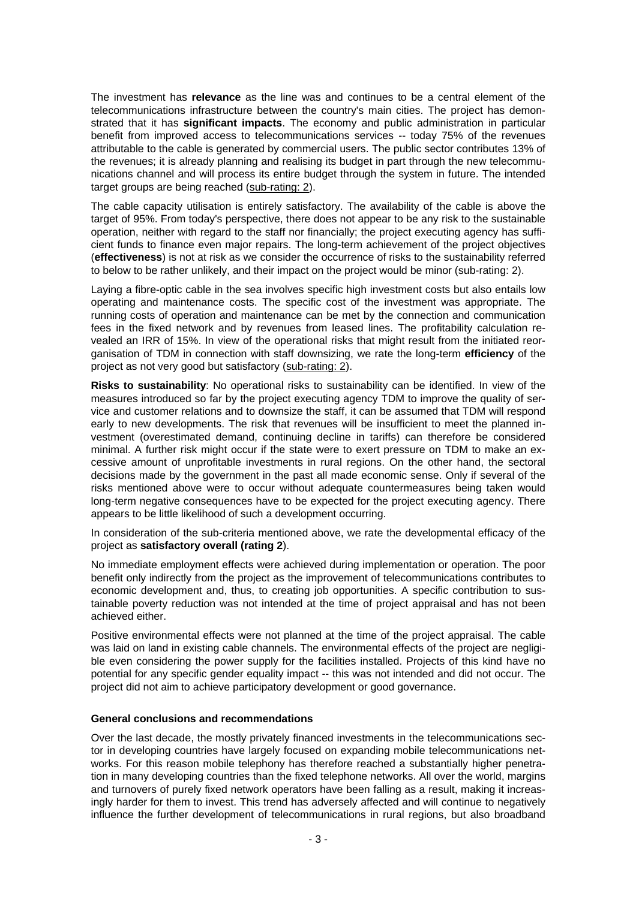The investment has **relevance** as the line was and continues to be a central element of the telecommunications infrastructure between the country's main cities. The project has demonstrated that it has **significant impacts**. The economy and public administration in particular benefit from improved access to telecommunications services -- today 75% of the revenues attributable to the cable is generated by commercial users. The public sector contributes 13% of the revenues; it is already planning and realising its budget in part through the new telecommunications channel and will process its entire budget through the system in future. The intended target groups are being reached (sub-rating: 2).

The cable capacity utilisation is entirely satisfactory. The availability of the cable is above the target of 95%. From today's perspective, there does not appear to be any risk to the sustainable operation, neither with regard to the staff nor financially; the project executing agency has sufficient funds to finance even major repairs. The long-term achievement of the project objectives (**effectiveness**) is not at risk as we consider the occurrence of risks to the sustainability referred to below to be rather unlikely, and their impact on the project would be minor (sub-rating: 2).

Laying a fibre-optic cable in the sea involves specific high investment costs but also entails low operating and maintenance costs. The specific cost of the investment was appropriate. The running costs of operation and maintenance can be met by the connection and communication fees in the fixed network and by revenues from leased lines. The profitability calculation revealed an IRR of 15%. In view of the operational risks that might result from the initiated reorganisation of TDM in connection with staff downsizing, we rate the long-term **efficiency** of the project as not very good but satisfactory (sub-rating: 2).

**Risks to sustainability**: No operational risks to sustainability can be identified. In view of the measures introduced so far by the project executing agency TDM to improve the quality of service and customer relations and to downsize the staff, it can be assumed that TDM will respond early to new developments. The risk that revenues will be insufficient to meet the planned investment (overestimated demand, continuing decline in tariffs) can therefore be considered minimal. A further risk might occur if the state were to exert pressure on TDM to make an excessive amount of unprofitable investments in rural regions. On the other hand, the sectoral decisions made by the government in the past all made economic sense. Only if several of the risks mentioned above were to occur without adequate countermeasures being taken would long-term negative consequences have to be expected for the project executing agency. There appears to be little likelihood of such a development occurring.

In consideration of the sub-criteria mentioned above, we rate the developmental efficacy of the project as **satisfactory overall (rating 2**).

No immediate employment effects were achieved during implementation or operation. The poor benefit only indirectly from the project as the improvement of telecommunications contributes to economic development and, thus, to creating job opportunities. A specific contribution to sustainable poverty reduction was not intended at the time of project appraisal and has not been achieved either.

Positive environmental effects were not planned at the time of the project appraisal. The cable was laid on land in existing cable channels. The environmental effects of the project are negligible even considering the power supply for the facilities installed. Projects of this kind have no potential for any specific gender equality impact -- this was not intended and did not occur. The project did not aim to achieve participatory development or good governance.

## **General conclusions and recommendations**

Over the last decade, the mostly privately financed investments in the telecommunications sector in developing countries have largely focused on expanding mobile telecommunications networks. For this reason mobile telephony has therefore reached a substantially higher penetration in many developing countries than the fixed telephone networks. All over the world, margins and turnovers of purely fixed network operators have been falling as a result, making it increasingly harder for them to invest. This trend has adversely affected and will continue to negatively influence the further development of telecommunications in rural regions, but also broadband